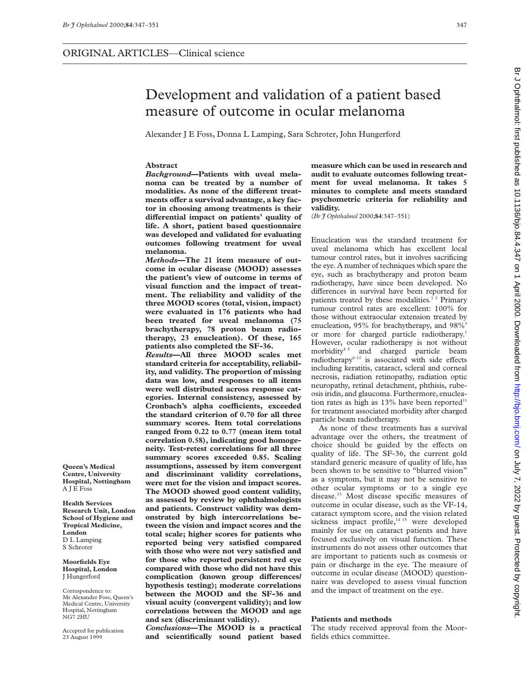**Abstract**

**melanoma.**

Br J Ophthalmol: first published as 10.1136/bjo.84.4.347 on 1 April 2000. Downloaded from http://bjo.bmj.com/ on July 7, 2022 by guest. Protected by copyright on July 7, 2022 by guest. Protected by copyright. <http://bjo.bmj.com/> Br J Ophthalmol: first published as 10.1136/bjo.84.4.347 on 1 April 2000. Downloaded from

#### Development and validation of a patient based measure of outcome in ocular melanoma Alexander J E Foss, Donna L Lamping, Sara Schroter, John Hungerford *Background***—Patients with uveal melanoma can be treated by a number of** modalities. As none of the different treatments offer a survival advantage, a key fac**tor in choosing among treatments is their** differential impact on patients' quality of **life. A short, patient based questionnaire was developed and validated for evaluating outcomes following treatment for uveal** *Methods***—The 21 item measure of outcome in ocular disease (MOOD) assesses the patient's view of outcome in terms of visual function and the impact of treatment. The reliability and validity of the three MOOD scores (total, vision, impact) were evaluated in 176 patients who had been treated for uveal melanoma (75 brachytherapy, 78 proton beam radiotherapy, 23 enucleation). Of these, 165 patients also completed the SF-36.** *Results***—All three MOOD scales met standard criteria for acceptability, reliability, and validity. The proportion of missing measure which can be used in research and audit to evaluate outcomes following treatment for uveal melanoma. It takes 5 minutes to complete and meets standard psychometric criteria for reliability and validity.** (*Br J Ophthalmol* 2000;**84**:347–351) Enucleation was the standard treatment for uveal melanoma which has excellent local tumour control rates, but it involves sacrificing the eye. A number of techniques which spare the eye, such as brachytherapy and proton beam radiotherapy, have since been developed. No differences in survival have been reported for patients treated by these modalities.<sup>12</sup> Primary tumour control rates are excellent: 100% for those without extraocular extension treated by

enucleation, 95% for brachytherapy, and 98%<sup>3</sup> or more for charged particle radiotherapy.<sup>1</sup> However, ocular radiotherapy is not without morbidity<sup>45</sup> and charged particle beam radiotherapy $6-12$  is associated with side effects including keratitis, cataract, scleral and corneal necrosis, radiation retinopathy, radiation optic neuropathy, retinal detachment, phthisis, rubeosis iridis, and glaucoma. Furthermore, enucleation rates as high as  $13\%$  have been reported<sup>11</sup> for treatment associated morbidity after charged particle beam radiotherapy.

As none of these treatments has a survival advantage over the others, the treatment of choice should be guided by the effects on quality of life. The SF-36, the current gold standard generic measure of quality of life, has been shown to be sensitive to "blurred vision" as a symptom, but it may not be sensitive to other ocular symptoms or to a single eye disease.13 Most disease specific measures of outcome in ocular disease, such as the VF-14, cataract symptom score, and the vision related sickness impact profile,<sup>14 15</sup> were developed mainly for use on cataract patients and have focused exclusively on visual function. These instruments do not assess other outcomes that are important to patients such as cosmesis or pain or discharge in the eye. The measure of outcome in ocular disease (MOOD) questionnaire was developed to assess visual function and the impact of treatment on the eye.

# **Patients and methods**

The study received approval from the Moorfields ethics committee.

**Queen's Medical Centre, University Hospital, Nottingham** A J E Foss

**Health Services Research Unit, London School of Hygiene and Tropical Medicine, London** D L Lamping S Schroter

**Moorfields Eye Hospital, London** J Hungerford

Correspondence to: Mr Alexander Foss, Queen's Medical Centre, University Hospital, Nottingham NG7 2HU

Accepted for publication 23 August 1999

**Cronbach's alpha coeYcients, exceeded the standard criterion of 0.70 for all three summary scores. Item total correlations ranged from 0.22 to 0.77 (mean item total correlation 0.58), indicating good homogeneity. Test-retest correlations for all three summary scores exceeded 0.85. Scaling assumptions, assessed by item convergent and discriminant validity correlations, were met for the vision and impact scores. The MOOD showed good content validity, as assessed by review by ophthalmologists and patients. Construct validity was demonstrated by high intercorrelations between the vision and impact scores and the total scale; higher scores for patients who reported being very satisfied compared with those who were not very satisfied and for those who reported persistent red eye compared with those who did not have this** complication (known group differences/ **hypothesis testing); moderate correlations between the MOOD and the SF-36 and**

**data was low, and responses to all items were well distributed across response categories. Internal consistency, assessed by**

**visual acuity (convergent validity); and low correlations between the MOOD and age and sex (discriminant validity).** *Conclusions***—The MOOD is a practical**

**and scientifically sound patient based**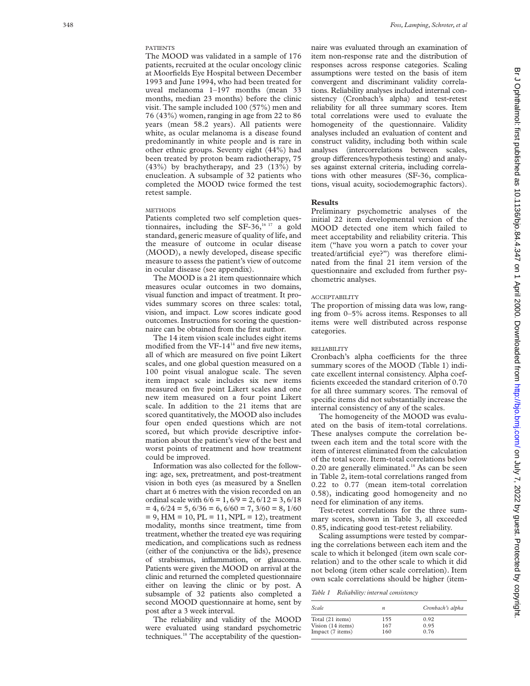# PATIENTS

The MOOD was validated in a sample of 176 patients, recruited at the ocular oncology clinic at Moorfields Eye Hospital between December 1993 and June 1994, who had been treated for uveal melanoma 1–197 months (mean 33 months, median 23 months) before the clinic visit. The sample included 100 (57%) men and 76 (43%) women, ranging in age from 22 to 86 years (mean 58.2 years). All patients were white, as ocular melanoma is a disease found predominantly in white people and is rare in other ethnic groups. Seventy eight (44%) had been treated by proton beam radiotherapy, 75 (43%) by brachytherapy, and 23 (13%) by enucleation. A subsample of 32 patients who completed the MOOD twice formed the test retest sample.

## METHODS

Patients completed two self completion questionnaires, including the SF-36, $16 \times 17$  a gold standard, generic measure of quality of life, and the measure of outcome in ocular disease (MOOD), a newly developed, disease specific measure to assess the patient's view of outcome in ocular disease (see appendix).

The MOOD is a 21 item questionnaire which measures ocular outcomes in two domains, visual function and impact of treatment. It provides summary scores on three scales: total, vision, and impact. Low scores indicate good outcomes. Instructions for scoring the questionnaire can be obtained from the first author.

The 14 item vision scale includes eight items modified from the VF-14 $14$  and five new items, all of which are measured on five point Likert scales, and one global question measured on a 100 point visual analogue scale. The seven item impact scale includes six new items measured on five point Likert scales and one new item measured on a four point Likert scale. In addition to the 21 items that are scored quantitatively, the MOOD also includes four open ended questions which are not scored, but which provide descriptive information about the patient's view of the best and worst points of treatment and how treatment could be improved.

Information was also collected for the following: age, sex, pretreatment, and post-treatment vision in both eyes (as measured by a Snellen chart at 6 metres with the vision recorded on an ordinal scale with  $6/6 = 1$ ,  $6/9 = 2$ ,  $6/12 = 3$ ,  $6/18$  $= 4, 6/24 = 5, 6/36 = 6, 6/60 = 7, 3/60 = 8, 1/60$  $= 9$ , HM  $= 10$ , PL  $= 11$ , NPL  $= 12$ ), treatment modality, months since treatment, time from treatment, whether the treated eye was requiring medication, and complications such as redness (either of the conjunctiva or the lids), presence of strabismus, inflammation, or glaucoma. Patients were given the MOOD on arrival at the clinic and returned the completed questionnaire either on leaving the clinic or by post. A subsample of 32 patients also completed a second MOOD questionnaire at home, sent by post after a 3 week interval.

The reliability and validity of the MOOD were evaluated using standard psychometric techniques.18 The acceptability of the questionnaire was evaluated through an examination of item non-response rate and the distribution of responses across response categories. Scaling assumptions were tested on the basis of item convergent and discriminant validity correlations. Reliability analyses included internal consistency (Cronbach's alpha) and test-retest reliability for all three summary scores. Item total correlations were used to evaluate the homogeneity of the questionnaire. Validity analyses included an evaluation of content and construct validity, including both within scale analyses (intercorrelations between scales, group differences/hypothesis testing) and analyses against external criteria, including correlations with other measures (SF-36, complications, visual acuity, sociodemographic factors).

#### **Results**

Preliminary psychometric analyses of the initial 22 item developmental version of the MOOD detected one item which failed to meet acceptability and reliability criteria. This item ("have you worn a patch to cover your treated/artificial eye?") was therefore eliminated from the final 21 item version of the questionnaire and excluded from further psychometric analyses.

#### ACCEPTABILITY

The proportion of missing data was low, ranging from 0–5% across items. Responses to all items were well distributed across response categories.

#### RELIABILITY

Cronbach's alpha coefficients for the three summary scores of the MOOD (Table 1) indicate excellent internal consistency. Alpha coefficients exceeded the standard criterion of 0.70 for all three summary scores. The removal of specific items did not substantially increase the internal consistency of any of the scales.

The homogeneity of the MOOD was evaluated on the basis of item-total correlations. These analyses compute the correlation between each item and the total score with the item of interest eliminated from the calculation of the total score. Item-total correlations below 0.20 are generally eliminated.<sup>18</sup> As can be seen in Table 2, item-total correlations ranged from 0.22 to 0.77 (mean item-total correlation 0.58), indicating good homogeneity and no need for elimination of any items.

Test-retest correlations for the three summary scores, shown in Table 3, all exceeded 0.85, indicating good test-retest reliability.

Scaling assumptions were tested by comparing the correlations between each item and the scale to which it belonged (item own scale correlation) and to the other scale to which it did not belong (item other scale correlation). Item own scale correlations should be higher (item-

*Table 1 Reliability: internal consistency*

| Scale             | n   | Cronbach's alpha |
|-------------------|-----|------------------|
| Total (21 items)  | 155 | 0.92             |
| Vision (14 items) | 167 | 0.95             |
| Impact (7 items)  | 160 | 0.76             |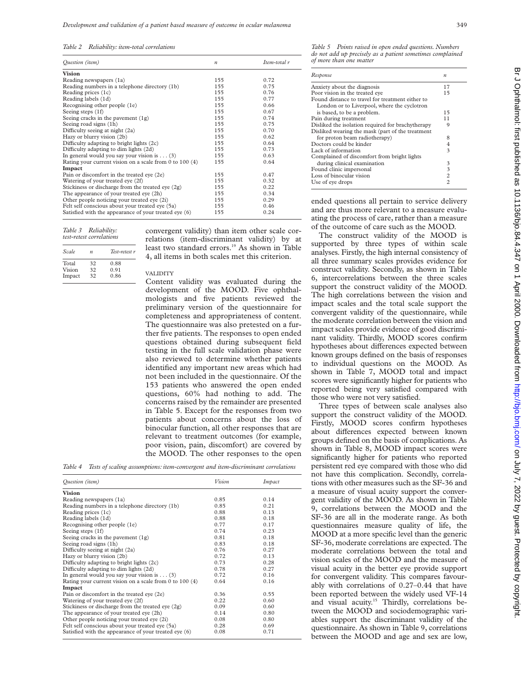*Table 2 Reliability: item-total correlations*

| Ouestion (item)                                           | $\boldsymbol{n}$ | Item-total r |
|-----------------------------------------------------------|------------------|--------------|
| <b>Vision</b>                                             |                  |              |
| Reading newspapers (1a)                                   | 155              | 0.72         |
| Reading numbers in a telephone directory (1b)             | 155              | 0.75         |
| Reading prices (1c)                                       | 155              | 0.76         |
| Reading labels (1d)                                       | 155              | 0.77         |
| Recognising other people (1e)                             | 155              | 0.66         |
| Seeing steps (1f)                                         | 155              | 0.67         |
| Seeing cracks in the pavement $(1g)$                      | 155              | 0.74         |
| Seeing road signs (1h)                                    | 155              | 0.75         |
| Difficulty seeing at night (2a)                           | 155              | 0.70         |
| Hazy or blurry vision (2b)                                | 155              | 0.62         |
| Difficulty adapting to bright lights (2c)                 | 155              | 0.64         |
| Difficulty adapting to dim lights (2d)                    | 155              | 0.73         |
| In general would you say your vision is $(3)$             | 155              | 0.63         |
| Rating your current vision on a scale from 0 to 100 $(4)$ | 155              | 0.64         |
| Impact                                                    |                  |              |
| Pain or discomfort in the treated eye (2e)                | 155              | 0.47         |
| Watering of your treated eye (2f)                         | 155              | 0.32         |
| Stickiness or discharge from the treated eye (2g)         | 155              | 0.22         |
| The appearance of your treated eye (2h)                   | 155              | 0.34         |
| Other people noticing your treated eye (2i)               | 155              | 0.29         |
| Felt self conscious about your treated eye (5a)           | 155              | 0.46         |
| Satisfied with the appearance of your treated eye (6)     | 155              | 0.24         |

*Table 3 Reliability: test-retest correlations*

| Scale  | n  | Test-retest r |
|--------|----|---------------|
| Total  | 32 | 0.88          |
| Vision | 32 | 0.91          |
| Impact | 32 | 0.86          |

convergent validity) than item other scale correlations (item-discriminant validity) by at least two standard errors.<sup>19</sup> As shown in Table 4, all items in both scales met this criterion.

VALIDITY

Content validity was evaluated during the development of the MOOD. Five ophthalmologists and five patients reviewed the preliminary version of the questionnaire for completeness and appropriateness of content. The questionnaire was also pretested on a further five patients. The responses to open ended questions obtained during subsequent field testing in the full scale validation phase were also reviewed to determine whether patients identified any important new areas which had not been included in the questionnaire. Of the 153 patients who answered the open ended questions, 60% had nothing to add. The concerns raised by the remainder are presented in Table 5. Except for the responses from two patients about concerns about the loss of binocular function, all other responses that are relevant to treatment outcomes (for example, poor vision, pain, discomfort) are covered by the MOOD. The other responses to the open

*Table 4 Tests of scaling assumptions: item-convergent and item-discriminant correlations*

| Ouestion (item)                                         | Vision | Impact |
|---------------------------------------------------------|--------|--------|
| <b>Vision</b>                                           |        |        |
| Reading newspapers (1a)                                 | 0.85   | 0.14   |
| Reading numbers in a telephone directory (1b)           | 0.85   | 0.21   |
| Reading prices (1c)                                     | 0.88   | 0.13   |
| Reading labels (1d)                                     | 0.88   | 0.18   |
| Recognising other people (1e)                           | 0.77   | 0.17   |
| Seeing steps (1f)                                       | 0.74   | 0.23   |
| Seeing cracks in the pavement (1g)                      | 0.81   | 0.18   |
| Seeing road signs (1h)                                  | 0.83   | 0.18   |
| Difficulty seeing at night (2a)                         | 0.76   | 0.27   |
| Hazy or blurry vision (2b)                              | 0.72   | 0.13   |
| Difficulty adapting to bright lights (2c)               | 0.73   | 0.28   |
| Difficulty adapting to dim lights (2d)                  | 0.78   | 0.27   |
| In general would you say your vision is $\dots$ (3)     | 0.72   | 0.16   |
| Rating your current vision on a scale from 0 to 100 (4) | 0.64   | 0.16   |
| Impact                                                  |        |        |
| Pain or discomfort in the treated eye (2e)              | 0.36   | 0.55   |
| Watering of your treated eye (2f)                       | 0.22   | 0.60   |
| Stickiness or discharge from the treated eye (2g)       | 0.09   | 0.60   |
| The appearance of your treated eye (2h)                 | 0.14   | 0.80   |
| Other people noticing your treated eye (2i)             | 0.08   | 0.80   |
| Felt self conscious about your treated eye (5a)         | 0.28   | 0.69   |
| Satisfied with the appearance of your treated eye (6)   | 0.08   | 0.71   |

*Table 5 Points raised in open ended questions. Numbers do not add up precisely as a patient sometimes complained of more than one matter*

| Response                                          | $\boldsymbol{n}$ |
|---------------------------------------------------|------------------|
| Anxiety about the diagnosis                       | 17               |
| Poor vision in the treated eye                    | 15               |
| Found distance to travel for treatment either to  |                  |
| London or to Liverpool, where the cyclotron       |                  |
| is based, to be a problem.                        | 15               |
| Pain during treatment                             | 11               |
| Disliked the isolation required for brachytherapy | 9                |
| Disliked wearing the mask (part of the treatment  |                  |
| for proton beam radiotherapy)                     | 8                |
| Doctors could be kinder                           | 4                |
| Lack of information                               | 3                |
| Complained of discomfort from bright lights       |                  |
| during clinical examination                       | 3                |
| Found clinic impersonal                           | 3                |
| Loss of binocular vision                          | $\overline{c}$   |
| Use of eye drops                                  | $\mathfrak{D}$   |

ended questions all pertain to service delivery and are thus more relevant to a measure evaluating the process of care, rather than a measure of the outcome of care such as the MOOD.

The construct validity of the MOOD is supported by three types of within scale analyses. Firstly, the high internal consistency of all three summary scales provides evidence for construct validity. Secondly, as shown in Table 6, intercorrelations between the three scales support the construct validity of the MOOD. The high correlations between the vision and impact scales and the total scale support the convergent validity of the questionnaire, while the moderate correlation between the vision and impact scales provide evidence of good discriminant validity. Thirdly, MOOD scores confirm hypotheses about differences expected between known groups defined on the basis of responses to individual questions on the MOOD. As shown in Table 7, MOOD total and impact scores were significantly higher for patients who reported being very satisfied compared with those who were not very satisfied.

Three types of between scale analyses also support the construct validity of the MOOD. Firstly, MOOD scores confirm hypotheses about differences expected between known groups defined on the basis of complications. As shown in Table 8, MOOD impact scores were significantly higher for patients who reported persistent red eye compared with those who did not have this complication. Secondly, correlations with other measures such as the SF-36 and a measure of visual acuity support the convergent validity of the MOOD. As shown in Table 9, correlations between the MOOD and the SF-36 are all in the moderate range. As both questionnaires measure quality of life, the MOOD at a more specific level than the generic SF-36, moderate correlations are expected. The moderate correlations between the total and vision scales of the MOOD and the measure of visual acuity in the better eye provide support for convergent validity. This compares favourably with correlations of 0.27–0.44 that have been reported between the widely used VF-14 and visual acuity.<sup>15</sup> Thirdly, correlations between the MOOD and sociodemographic variables support the discriminant validity of the questionnaire. As shown in Table 9, correlations between the MOOD and age and sex are low,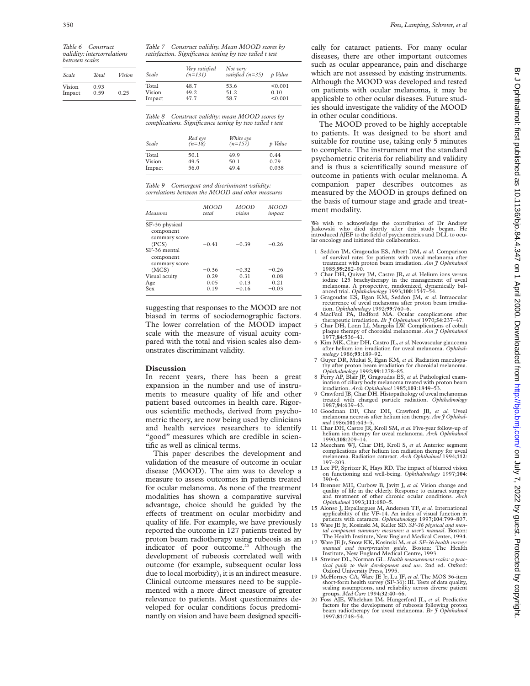*validity: intercorrelations between scales*

| Total | Vision |
|-------|--------|
| 0.93  |        |
| 0.59  | 0.25   |
|       |        |

*Table 7 Construct validity. Mean MOOD scores by satisfaction. Significance testing by two tailed t test*

| Scale  | Very satisfied<br>$(n=131)$ | Not very<br>satisfied $(n=35)$ | p Value |
|--------|-----------------------------|--------------------------------|---------|
| Total  | 48.7                        | 53.6                           | < 0.001 |
| Vision | 49.2                        | 51.2                           | 0.10    |
| Impact | 47.7                        | 58.7                           | < 0.001 |

*Table 8 Construct validity: mean MOOD scores by complications. Significance testing by two tailed t test*

| Scale  | Red eye<br>$(n=18)$ | White eye<br>$(n=157)$ | p Value |
|--------|---------------------|------------------------|---------|
| Total  | 50.1                | 49.9                   | 0.44    |
| Vision | 49.5                | 50.1                   | 0.79    |
| Impact | 56.0                | 49.4                   | 0.038   |

*Table 9 Convergent and discriminant validity: correlations between the MOOD and other measures*

| Measures                                                                                            | MOOD    | <i>MOOD</i> | MOOD    |
|-----------------------------------------------------------------------------------------------------|---------|-------------|---------|
|                                                                                                     | total   | vision      | impact  |
| SF-36 physical<br>component<br>summary score<br>(PCS)<br>SF-36 mental<br>component<br>summary score | $-0.41$ | $-0.39$     | $-0.26$ |
| (MCS)                                                                                               | $-0.36$ | $-0.32$     | $-0.26$ |
| Visual acuity                                                                                       | 0.29    | 0.31        | 0.08    |
| Age                                                                                                 | 0.05    | 0.13        | 0.21    |
| Sex                                                                                                 | 0.19    | $-0.16$     | $-0.03$ |

suggesting that responses to the MOOD are not biased in terms of sociodemographic factors. The lower correlation of the MOOD impact scale with the measure of visual acuity compared with the total and vision scales also demonstrates discriminant validity.

### **Discussion**

In recent years, there has been a great expansion in the number and use of instruments to measure quality of life and other patient based outcomes in health care. Rigorous scientific methods, derived from psychometric theory, are now being used by clinicians and health services researchers to identify "good" measures which are credible in scientific as well as clinical terms.

This paper describes the development and validation of the measure of outcome in ocular disease (MOOD). The aim was to develop a measure to assess outcomes in patients treated for ocular melanoma. As none of the treatment modalities has shown a comparative survival advantage, choice should be guided by the effects of treatment on ocular morbidity and quality of life. For example, we have previously reported the outcome in 127 patients treated by proton beam radiotherapy using rubeosis as an indicator of poor outcome.<sup>20</sup> Although the development of rubeosis correlated well with outcome (for example, subsequent ocular loss due to local morbidity), it is an indirect measure. Clinical outcome measures need to be supplemented with a more direct measure of greater relevance to patients. Most questionnaires developed for ocular conditions focus predominantly on vision and have been designed specifically for cataract patients. For many ocular diseases, there are other important outcomes such as ocular appearance, pain and discharge which are not assessed by existing instruments. Although the MOOD was developed and tested on patients with ocular melanoma, it may be applicable to other ocular diseases. Future studies should investigate the validity of the MOOD in other ocular conditions.

The MOOD proved to be highly acceptable to patients. It was designed to be short and suitable for routine use, taking only 5 minutes to complete. The instrument met the standard psychometric criteria for reliability and validity and is thus a scientifically sound measure of outcome in patients with ocular melanoma. A companion paper describes outcomes as measured by the MOOD in groups defined on the basis of tumour stage and grade and treatment modality.

We wish to acknowledge the contribution of Dr Andrew Jaskowski who died shortly after this study began. He introduced AJEF to the field of psychometrics and DLL to ocu-lar oncology and initiated this collaboration.

- 1 Seddon JM, Gragoudas ES, Albert DM, *et al.* Comparison of survival rates for patients with uveal melanoma after treatment with proton beam irradiation. *Am J Ophthalmol* 1985;**99**:282–90.
- 2 Char DH, Quivey JM, Castro JR, *et al.* Helium ions versus iodine 125 brachytherapy in the management of uveal melanoma. A prospective, randomized, dynamically bal-
- anced trial. *Ophthalmology* 1993;**100**:1547–54. 3 Gragoudas ES, Egan KM, Seddon JM, *et al.* Intraocular recurrence of uveal melanoma after proton beam irradiation. *Ophthalmology* 1992;**99**:760–6.
- 
- 4 MacFaul PA, Bedford MA. Ocular complications after<br>therapeutic irradiation. *Br J Ophthalmol* 1970;54:237-47.<br>5 Char DH, Lonn LJ, Margolis LW. Complications of cobalt<br>plaque therapy of choroidal melanomas. *Am J Ophthalm*
- 6 Kim MK, Char DH, Castro JL, *et al.* Neovascular glaucoma after helium ion irradiation for uveal melanoma. *Ophthal-*
- *mology* 1986;**93**:189–92. 7 Guyer DR, Mukai S, Egan KM, *et al.* Radiation maculopathy after proton beam irradiation for choroidal melanoma.
- *Ophthalmology* 1992;**99**:1278–85. 8 Ferry AP, Blair JP, Gragoudas ES, *et al.* Pathological examination of ciliary body melanoma treated with proton beam irradiation. *Arch Ophthalmol* 1985;**103**:1849–53.
- 9 Crawford JB, Char DH. Histopathology of uveal melanomas treated with charged particle radiation. *Ophthalmology*
- 10 Goodman DF, Char DH, Crawford JB, et al. Uveal melanoma necrosis after helium ion therapy. *Am J Ophthal-mol* 1986;**101**:643–5. 11 Char DH, Castro JR, Kroll SM, *et al.* Five-year follow-up of
- helium ion therapy for uveal melanoma. *Arch Ophthalmol* 1990;**108**:209–14.
- 12 Meecham WJ, Char DH, Kroll S, *et al.* Anterior segment complications after helium ion radiation therapy for uveal melanoma. Radiation cataract. *Arch Ophthalmol* 1994;**112**: 197–203.
- 13 Lee PP, Spritzer K, Hays RD. The impact of blurred vision on functioning and well-being. *Ophthalmology* 1997;**104**: 390–6.
- 14 Brenner MH, Curbow B, Javitt J, *et al.* Vision change and quality of life in the elderly. Response to cataract surgery and treatment of other chronic ocular conditions. *Arch Ophthalmol* 1993;**111**:680–5.
- 15 Alonso J, Espallargues M, Andersen TF, *et al.* International applicability of the VF-14. An index of visual function in
- patients with cataracts. Ophthalmology 1997;104:799-807.<br>16 Ware JE Jr, Kosinski M, Keller SD. SF-36 physical and mental component summary measures: a user's manual. Boston:<br>The Health Institute, New England Medical Center
- Ware JE Jr, Snow KK, Kosinski M, et al. SF-36 health survey:<br>manual and interpretation guide. Boston: The Health *manual and interpretation guide.* Boston: The Health Institute, New England Medical Centre, 1993.
- 18 Streiner DL, Norman GL. *Health measurement scales: a practical guide to their development and use*. 2nd ed. Oxford:
- Oxford University Press, 1995.<br>
19 McHorney CA, Ware JE Jr, Lu JF, *et al.* The MOS 36-item<br>
short-form health survey (SF-36): III. Tests of data quality,<br>
scaling assumptions, and reliability across diverse patient groups. *Med Care* 1994;**32**:40–66.
- 20 Foss AJE, Whelehan IM, Hungerford JL, *et al.* Predictive factors for the development of rubeosis following proton beam radiotherapy for uveal melanoma. *Br J Ophthalmol* 1997;**81**:748–54.